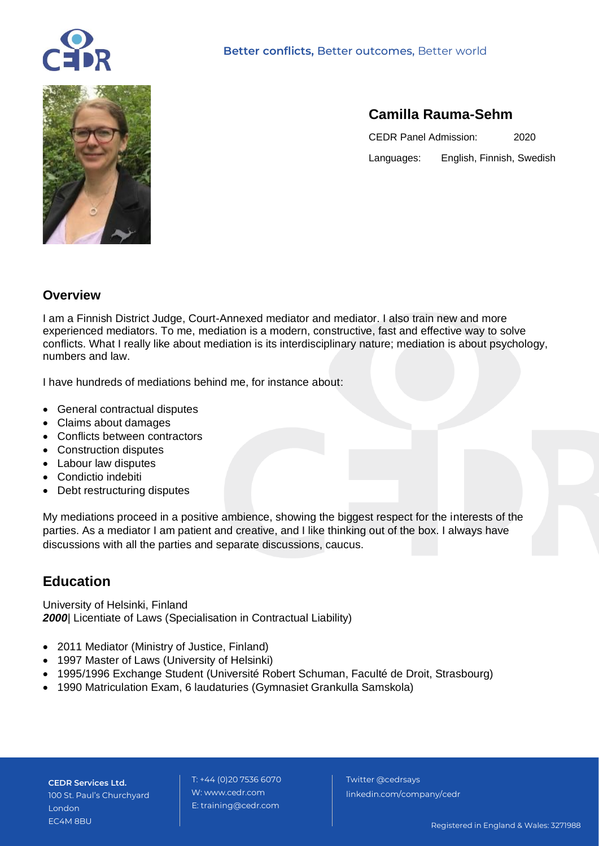



# **Camilla Rauma-Sehm**

CEDR Panel Admission: 2020 Languages: English, Finnish, Swedish

#### **Overview**

I am a Finnish District Judge, Court-Annexed mediator and mediator. I also train new and more experienced mediators. To me, mediation is a modern, constructive, fast and effective way to solve conflicts. What I really like about mediation is its interdisciplinary nature; mediation is about psychology, numbers and law.

I have hundreds of mediations behind me, for instance about:

- General contractual disputes
- Claims about damages
- Conflicts between contractors
- Construction disputes
- Labour law disputes
- Condictio indebiti
- Debt restructuring disputes

My mediations proceed in a positive ambience, showing the biggest respect for the interests of the parties. As a mediator I am patient and creative, and I like thinking out of the box. I always have discussions with all the parties and separate discussions, caucus.

# **Education**

University of Helsinki, Finland **2000** Licentiate of Laws (Specialisation in Contractual Liability)

- 2011 Mediator (Ministry of Justice, Finland)
- 1997 Master of Laws (University of Helsinki)
- 1995/1996 Exchange Student (Université Robert Schuman, Faculté de Droit, Strasbourg)
- 1990 Matriculation Exam, 6 laudaturies (Gymnasiet Grankulla Samskola)

**CEDR Services Ltd.** 100 St. Paul's Churchyard London EC4M 8BU

 T: +44 (0)20 7536 6070 W: www.cedr.com E: training@cedr.com

 Twitter @cedrsays linkedin.com/company/cedr